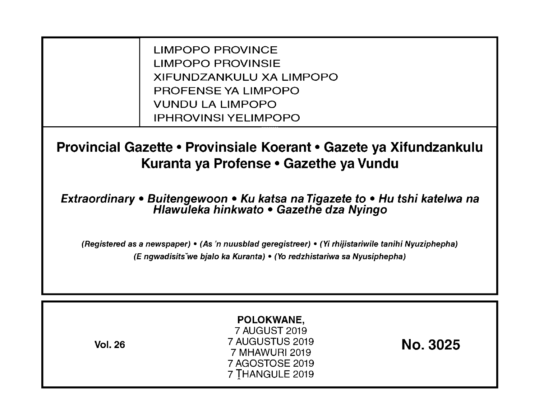LIMPOPO PROVINCE LIMPOPO PROVINSIE XIFUNDZANKULU XA LIMPOPO PROFENSE YA LIMPOPO VUNDU LA LIMPOPO IPHROVINSI YELIMPOPO

**Provincial Gazette • Provinsiale Koerant • Gazete ya Xifundzankulu Kuranta ya Profense • Gazethe ya Vundu** 

**Extraordinary • Buitengewoon • Ku katsa na Tigazete to • Hu tshi katelwa na Hlawuleka hinkwato • Gazethe dza Nyingo** 

(Registered as a newspaper) • (As 'n nuusblad geregistreer) • (Yi rhijistariwile tanihi Nyuziphepha) (E ngwadisitsVwe bjalo ka Kuranta) • (Yo redzhistariwa sa Nyusiphepha)

| <b>Vol. 26</b> | POLOKWANE,<br>7 AUGUST 2019<br>7 AUGUSTUS 2019<br>7 MHAWURI 2019<br>7 AGOSTOSE 2019<br>7 THANGULE 2019 | <b>No. 3025</b> |
|----------------|--------------------------------------------------------------------------------------------------------|-----------------|
|----------------|--------------------------------------------------------------------------------------------------------|-----------------|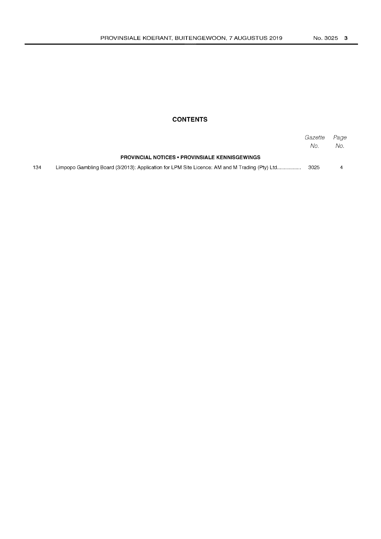# **CONTENTS**

|     |                                                                                               | Gazette<br>No. | Page<br>No. |
|-----|-----------------------------------------------------------------------------------------------|----------------|-------------|
|     | <b>PROVINCIAL NOTICES • PROVINSIALE KENNISGEWINGS</b>                                         |                |             |
| 134 | Limpopo Gambling Board (3/2013): Application for LPM Site Licence: AM and M Trading (Pty) Ltd | 3025           | 4           |